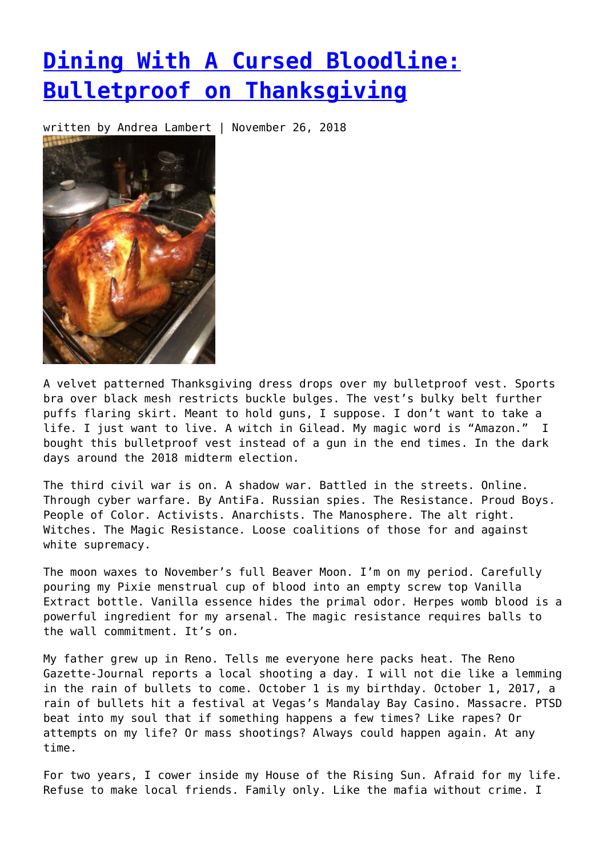## **[Dining With A Cursed Bloodline:](https://entropymag.org/dining-with-a-cursed-bloodline-bulletproof-on-thanksgiving/) [Bulletproof on Thanksgiving](https://entropymag.org/dining-with-a-cursed-bloodline-bulletproof-on-thanksgiving/)**

written by Andrea Lambert | November 26, 2018



A velvet patterned Thanksgiving dress drops over my bulletproof vest. Sports bra over black mesh restricts buckle bulges. The vest's bulky belt further puffs flaring skirt. Meant to hold guns, I suppose. I don't want to take a life. I just want to live. A witch in Gilead. My magic word is "Amazon." I bought this bulletproof vest instead of a gun in the end times. In the dark days around the 2018 midterm election.

The third civil war is on. A shadow war. Battled in the streets. Online. Through cyber warfare. By AntiFa. Russian spies. The Resistance. Proud Boys. People of Color. Activists. Anarchists. The Manosphere. The alt right. Witches. The Magic Resistance. Loose coalitions of those for and against white supremacy.

The moon waxes to November's full Beaver Moon. I'm on my period. Carefully pouring my Pixie menstrual cup of blood into an empty screw top Vanilla Extract bottle. Vanilla essence hides the primal odor. Herpes womb blood is a powerful ingredient for my arsenal. The magic resistance requires balls to the wall commitment. It's on.

My father grew up in Reno. Tells me everyone here packs heat. The Reno Gazette-Journal reports a local shooting a day. I will not die like a lemming in the rain of bullets to come. October 1 is my birthday. October 1, 2017, a rain of bullets hit a festival at Vegas's Mandalay Bay Casino. Massacre. PTSD beat into my soul that if something happens a few times? Like rapes? Or attempts on my life? Or mass shootings? Always could happen again. At any time.

For two years, I cower inside my House of the Rising Sun. Afraid for my life. Refuse to make local friends. Family only. Like the mafia without crime. I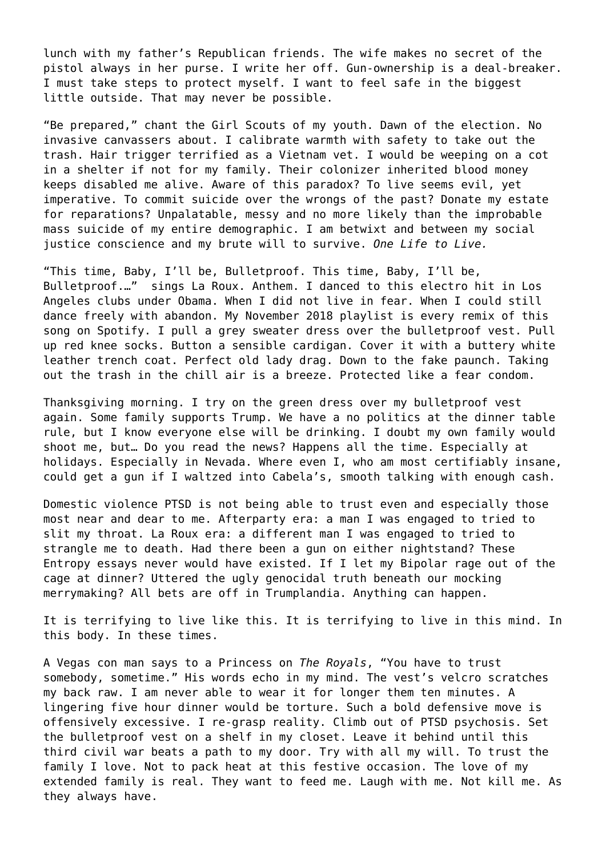lunch with my father's Republican friends. The wife makes no secret of the pistol always in her purse. I write her off. Gun-ownership is a deal-breaker. I must take steps to protect myself. I want to feel safe in the biggest little outside. That may never be possible.

"Be prepared," chant the Girl Scouts of my youth. Dawn of the election. No invasive canvassers about. I calibrate warmth with safety to take out the trash. Hair trigger terrified as a Vietnam vet. I would be weeping on a cot in a shelter if not for my family. Their colonizer inherited blood money keeps disabled me alive. Aware of this paradox? To live seems evil, yet imperative. To commit suicide over the wrongs of the past? Donate my estate for reparations? Unpalatable, messy and no more likely than the improbable mass suicide of my entire demographic. I am betwixt and between my social justice conscience and my brute will to survive. *One Life to Live.*

"This time, Baby, I'll be, Bulletproof. This time, Baby, I'll be, Bulletproof.…" sings La Roux. Anthem. I danced to this electro hit in Los Angeles clubs under Obama. When I did not live in fear. When I could still dance freely with abandon. My November 2018 playlist is every remix of this song on Spotify. I pull a grey sweater dress over the bulletproof vest. Pull up red knee socks. Button a sensible cardigan. Cover it with a buttery white leather trench coat. Perfect old lady drag. Down to the fake paunch. Taking out the trash in the chill air is a breeze. Protected like a fear condom.

Thanksgiving morning. I try on the green dress over my bulletproof vest again. Some family supports Trump. We have a no politics at the dinner table rule, but I know everyone else will be drinking. I doubt my own family would shoot me, but… Do you read the news? Happens all the time. Especially at holidays. Especially in Nevada. Where even I, who am most certifiably insane, could get a gun if I waltzed into Cabela's, smooth talking with enough cash.

Domestic violence PTSD is not being able to trust even and especially those most near and dear to me. Afterparty era: a man I was engaged to tried to slit my throat. La Roux era: a different man I was engaged to tried to strangle me to death. Had there been a gun on either nightstand? These Entropy essays never would have existed. If I let my Bipolar rage out of the cage at dinner? Uttered the ugly genocidal truth beneath our mocking merrymaking? All bets are off in Trumplandia. Anything can happen.

It is terrifying to live like this. It is terrifying to live in this mind. In this body. In these times.

A Vegas con man says to a Princess on *The Royals*, "You have to trust somebody, sometime." His words echo in my mind. The vest's velcro scratches my back raw. I am never able to wear it for longer them ten minutes. A lingering five hour dinner would be torture. Such a bold defensive move is offensively excessive. I re-grasp reality. Climb out of PTSD psychosis. Set the bulletproof vest on a shelf in my closet. Leave it behind until this third civil war beats a path to my door. Try with all my will. To trust the family I love. Not to pack heat at this festive occasion. The love of my extended family is real. They want to feed me. Laugh with me. Not kill me. As they always have.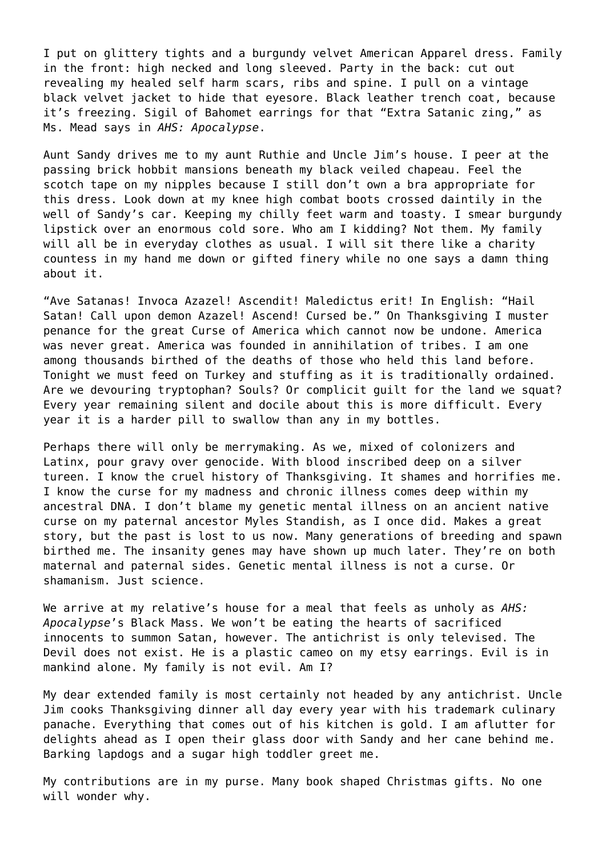I put on glittery tights and a burgundy velvet American Apparel dress. Family in the front: high necked and long sleeved. Party in the back: cut out revealing my healed self harm scars, ribs and spine. I pull on a vintage black velvet jacket to hide that eyesore. Black leather trench coat, because it's freezing. Sigil of Bahomet earrings for that "Extra Satanic zing," as Ms. Mead says in *AHS: Apocalypse*.

Aunt Sandy drives me to my aunt Ruthie and Uncle Jim's house. I peer at the passing brick hobbit mansions beneath my black veiled chapeau. Feel the scotch tape on my nipples because I still don't own a bra appropriate for this dress. Look down at my knee high combat boots crossed daintily in the well of Sandy's car. Keeping my chilly feet warm and toasty. I smear burgundy lipstick over an enormous cold sore. Who am I kidding? Not them. My family will all be in everyday clothes as usual. I will sit there like a charity countess in my hand me down or gifted finery while no one says a damn thing about it.

"Ave Satanas! Invoca Azazel! Ascendit! Maledictus erit! In English: "Hail Satan! Call upon demon Azazel! Ascend! Cursed be." On Thanksgiving I muster penance for the great Curse of America which cannot now be undone. America was never great. America was founded in annihilation of tribes. I am one among thousands birthed of the deaths of those who held this land before. Tonight we must feed on Turkey and stuffing as it is traditionally ordained. Are we devouring tryptophan? Souls? Or complicit guilt for the land we squat? Every year remaining silent and docile about this is more difficult. Every year it is a harder pill to swallow than any in my bottles.

Perhaps there will only be merrymaking. As we, mixed of colonizers and Latinx, pour gravy over genocide. With blood inscribed deep on a silver tureen. I know the cruel history of Thanksgiving. It shames and horrifies me. I know the curse for my madness and chronic illness comes deep within my ancestral DNA. I don't blame my genetic mental illness on an ancient native curse on my paternal ancestor Myles Standish, as I once did. Makes a great story, but the past is lost to us now. Many generations of breeding and spawn birthed me. The insanity genes may have shown up much later. They're on both maternal and paternal sides. Genetic mental illness is not a curse. Or shamanism. Just science.

We arrive at my relative's house for a meal that feels as unholy as *AHS: Apocalypse*'s Black Mass. We won't be eating the hearts of sacrificed innocents to summon Satan, however. The antichrist is only televised. The Devil does not exist. He is a plastic cameo on my etsy earrings. Evil is in mankind alone. My family is not evil. Am I?

My dear extended family is most certainly not headed by any antichrist. Uncle Jim cooks Thanksgiving dinner all day every year with his trademark culinary panache. Everything that comes out of his kitchen is gold. I am aflutter for delights ahead as I open their glass door with Sandy and her cane behind me. Barking lapdogs and a sugar high toddler greet me.

My contributions are in my purse. Many book shaped Christmas gifts. No one will wonder why.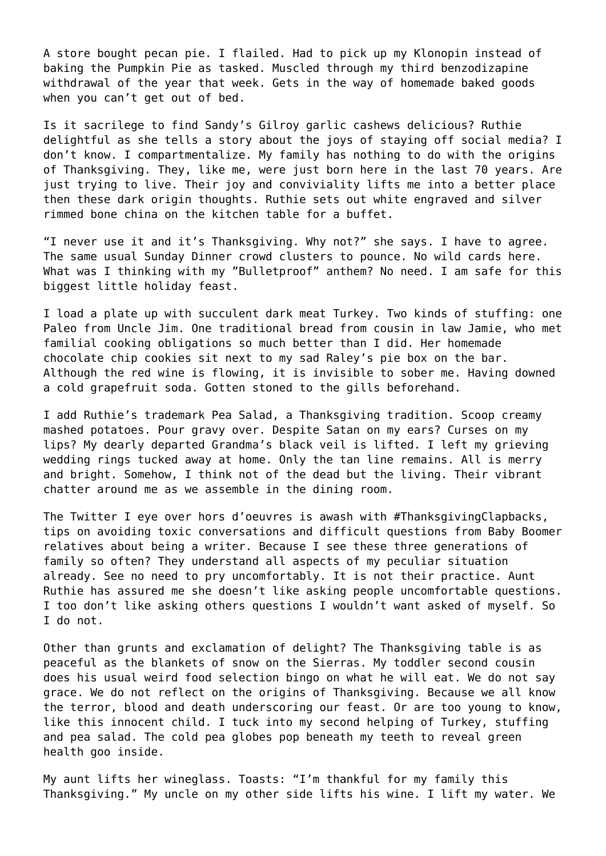A store bought pecan pie. I flailed. Had to pick up my Klonopin instead of baking the Pumpkin Pie as tasked. Muscled through my third benzodizapine withdrawal of the year that week. Gets in the way of homemade baked goods when you can't get out of bed.

Is it sacrilege to find Sandy's Gilroy garlic cashews delicious? Ruthie delightful as she tells a story about the joys of staying off social media? I don't know. I compartmentalize. My family has nothing to do with the origins of Thanksgiving. They, like me, were just born here in the last 70 years. Are just trying to live. Their joy and conviviality lifts me into a better place then these dark origin thoughts. Ruthie sets out white engraved and silver rimmed bone china on the kitchen table for a buffet.

"I never use it and it's Thanksgiving. Why not?" she says. I have to agree. The same usual Sunday Dinner crowd clusters to pounce. No wild cards here. What was I thinking with my "Bulletproof" anthem? No need. I am safe for this biggest little holiday feast.

I load a plate up with succulent dark meat Turkey. Two kinds of stuffing: one Paleo from Uncle Jim. One traditional bread from cousin in law Jamie, who met familial cooking obligations so much better than I did. Her homemade chocolate chip cookies sit next to my sad Raley's pie box on the bar. Although the red wine is flowing, it is invisible to sober me. Having downed a cold grapefruit soda. Gotten stoned to the gills beforehand.

I add Ruthie's trademark Pea Salad, a Thanksgiving tradition. Scoop creamy mashed potatoes. Pour gravy over. Despite Satan on my ears? Curses on my lips? My dearly departed Grandma's black veil is lifted. I left my grieving wedding rings tucked away at home. Only the tan line remains. All is merry and bright. Somehow, I think not of the dead but the living. Their vibrant chatter around me as we assemble in the dining room.

The Twitter I eye over hors d'oeuvres is awash with #ThanksgivingClapbacks, tips on avoiding toxic conversations and difficult questions from Baby Boomer relatives about being a writer. Because I see these three generations of family so often? They understand all aspects of my peculiar situation already. See no need to pry uncomfortably. It is not their practice. Aunt Ruthie has assured me she doesn't like asking people uncomfortable questions. I too don't like asking others questions I wouldn't want asked of myself. So I do not.

Other than grunts and exclamation of delight? The Thanksgiving table is as peaceful as the blankets of snow on the Sierras. My toddler second cousin does his usual weird food selection bingo on what he will eat. We do not say grace. We do not reflect on the origins of Thanksgiving. Because we all know the terror, blood and death underscoring our feast. Or are too young to know, like this innocent child. I tuck into my second helping of Turkey, stuffing and pea salad. The cold pea globes pop beneath my teeth to reveal green health goo inside.

My aunt lifts her wineglass. Toasts: "I'm thankful for my family this Thanksgiving." My uncle on my other side lifts his wine. I lift my water. We